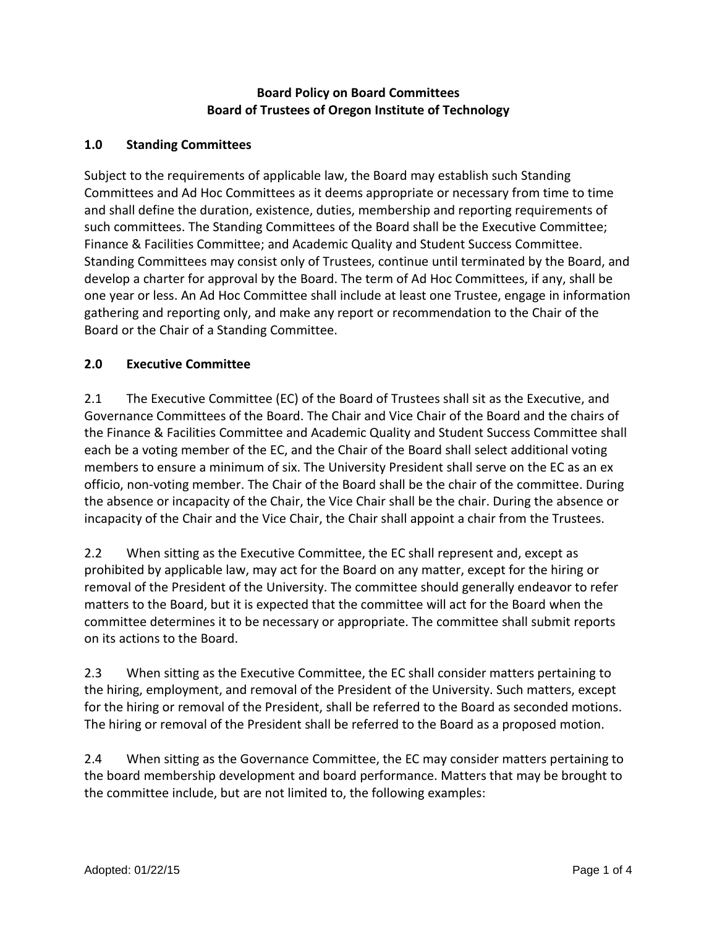### **Board Policy on Board Committees Board of Trustees of Oregon Institute of Technology**

### **1.0 Standing Committees**

Subject to the requirements of applicable law, the Board may establish such Standing Committees and Ad Hoc Committees as it deems appropriate or necessary from time to time and shall define the duration, existence, duties, membership and reporting requirements of such committees. The Standing Committees of the Board shall be the Executive Committee; Finance & Facilities Committee; and Academic Quality and Student Success Committee. Standing Committees may consist only of Trustees, continue until terminated by the Board, and develop a charter for approval by the Board. The term of Ad Hoc Committees, if any, shall be one year or less. An Ad Hoc Committee shall include at least one Trustee, engage in information gathering and reporting only, and make any report or recommendation to the Chair of the Board or the Chair of a Standing Committee.

### **2.0 Executive Committee**

2.1 The Executive Committee (EC) of the Board of Trustees shall sit as the Executive, and Governance Committees of the Board. The Chair and Vice Chair of the Board and the chairs of the Finance & Facilities Committee and Academic Quality and Student Success Committee shall each be a voting member of the EC, and the Chair of the Board shall select additional voting members to ensure a minimum of six. The University President shall serve on the EC as an ex officio, non-voting member. The Chair of the Board shall be the chair of the committee. During the absence or incapacity of the Chair, the Vice Chair shall be the chair. During the absence or incapacity of the Chair and the Vice Chair, the Chair shall appoint a chair from the Trustees.

2.2 When sitting as the Executive Committee, the EC shall represent and, except as prohibited by applicable law, may act for the Board on any matter, except for the hiring or removal of the President of the University. The committee should generally endeavor to refer matters to the Board, but it is expected that the committee will act for the Board when the committee determines it to be necessary or appropriate. The committee shall submit reports on its actions to the Board.

2.3 When sitting as the Executive Committee, the EC shall consider matters pertaining to the hiring, employment, and removal of the President of the University. Such matters, except for the hiring or removal of the President, shall be referred to the Board as seconded motions. The hiring or removal of the President shall be referred to the Board as a proposed motion.

2.4 When sitting as the Governance Committee, the EC may consider matters pertaining to the board membership development and board performance. Matters that may be brought to the committee include, but are not limited to, the following examples: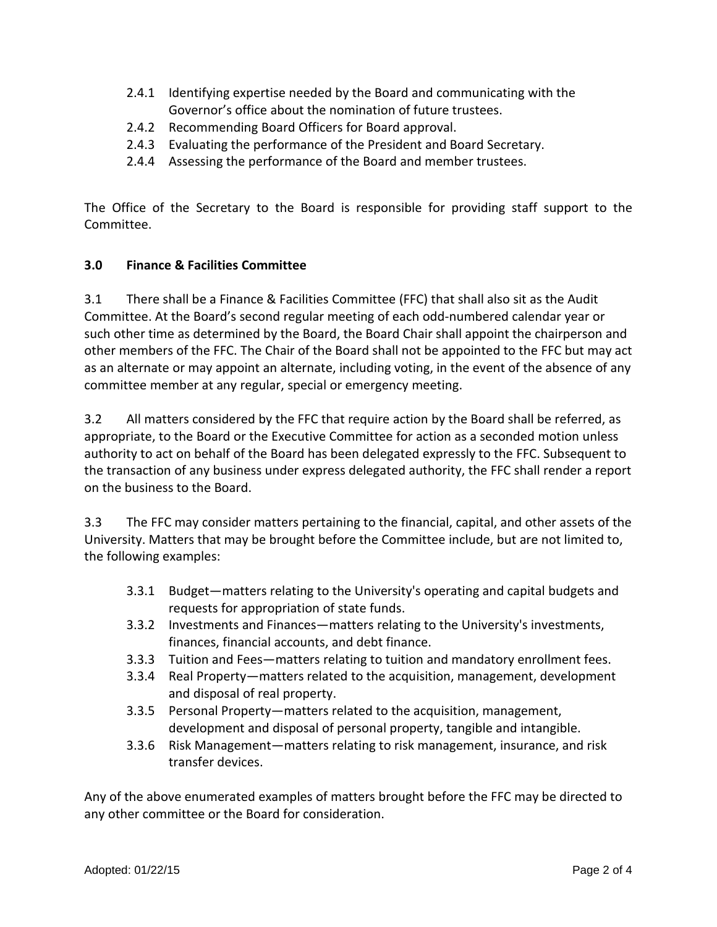- 2.4.1 Identifying expertise needed by the Board and communicating with the Governor's office about the nomination of future trustees.
- 2.4.2 Recommending Board Officers for Board approval.
- 2.4.3 Evaluating the performance of the President and Board Secretary.
- 2.4.4 Assessing the performance of the Board and member trustees.

The Office of the Secretary to the Board is responsible for providing staff support to the Committee.

### **3.0 Finance & Facilities Committee**

3.1 There shall be a Finance & Facilities Committee (FFC) that shall also sit as the Audit Committee. At the Board's second regular meeting of each odd-numbered calendar year or such other time as determined by the Board, the Board Chair shall appoint the chairperson and other members of the FFC. The Chair of the Board shall not be appointed to the FFC but may act as an alternate or may appoint an alternate, including voting, in the event of the absence of any committee member at any regular, special or emergency meeting.

3.2 All matters considered by the FFC that require action by the Board shall be referred, as appropriate, to the Board or the Executive Committee for action as a seconded motion unless authority to act on behalf of the Board has been delegated expressly to the FFC. Subsequent to the transaction of any business under express delegated authority, the FFC shall render a report on the business to the Board.

3.3 The FFC may consider matters pertaining to the financial, capital, and other assets of the University. Matters that may be brought before the Committee include, but are not limited to, the following examples:

- 3.3.1 Budget—matters relating to the University's operating and capital budgets and requests for appropriation of state funds.
- 3.3.2 Investments and Finances—matters relating to the University's investments, finances, financial accounts, and debt finance.
- 3.3.3 Tuition and Fees—matters relating to tuition and mandatory enrollment fees.
- 3.3.4 Real Property—matters related to the acquisition, management, development and disposal of real property.
- 3.3.5 Personal Property—matters related to the acquisition, management, development and disposal of personal property, tangible and intangible.
- 3.3.6 Risk Management—matters relating to risk management, insurance, and risk transfer devices.

Any of the above enumerated examples of matters brought before the FFC may be directed to any other committee or the Board for consideration.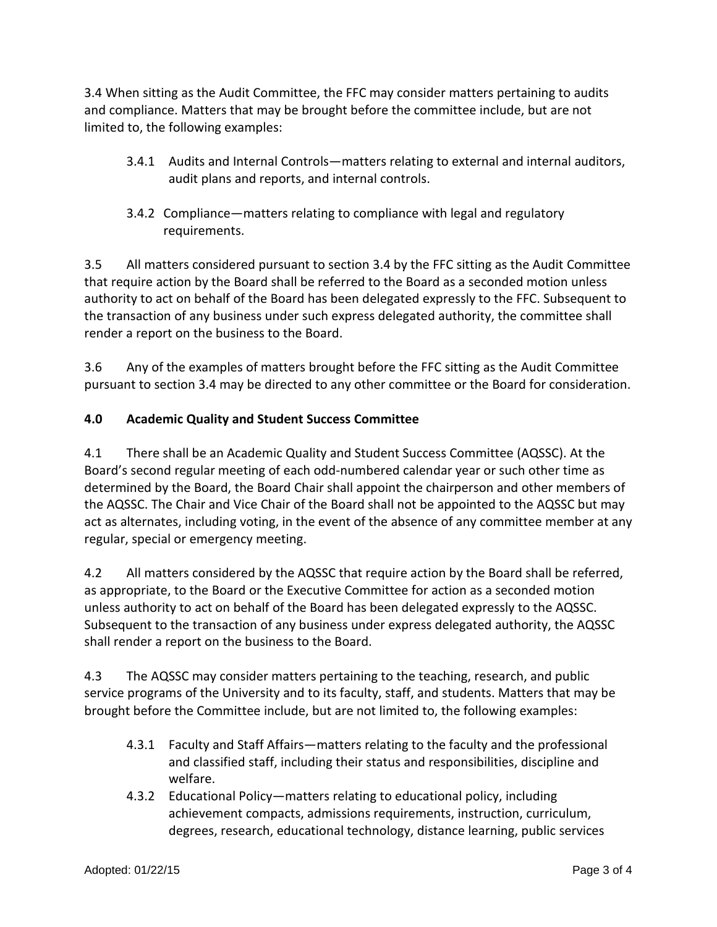3.4 When sitting as the Audit Committee, the FFC may consider matters pertaining to audits and compliance. Matters that may be brought before the committee include, but are not limited to, the following examples:

- 3.4.1 Audits and Internal Controls—matters relating to external and internal auditors, audit plans and reports, and internal controls.
- 3.4.2 Compliance—matters relating to compliance with legal and regulatory requirements.

3.5 All matters considered pursuant to section 3.4 by the FFC sitting as the Audit Committee that require action by the Board shall be referred to the Board as a seconded motion unless authority to act on behalf of the Board has been delegated expressly to the FFC. Subsequent to the transaction of any business under such express delegated authority, the committee shall render a report on the business to the Board.

3.6 Any of the examples of matters brought before the FFC sitting as the Audit Committee pursuant to section 3.4 may be directed to any other committee or the Board for consideration.

# **4.0 Academic Quality and Student Success Committee**

4.1 There shall be an Academic Quality and Student Success Committee (AQSSC). At the Board's second regular meeting of each odd-numbered calendar year or such other time as determined by the Board, the Board Chair shall appoint the chairperson and other members of the AQSSC. The Chair and Vice Chair of the Board shall not be appointed to the AQSSC but may act as alternates, including voting, in the event of the absence of any committee member at any regular, special or emergency meeting.

4.2 All matters considered by the AQSSC that require action by the Board shall be referred, as appropriate, to the Board or the Executive Committee for action as a seconded motion unless authority to act on behalf of the Board has been delegated expressly to the AQSSC. Subsequent to the transaction of any business under express delegated authority, the AQSSC shall render a report on the business to the Board.

4.3 The AQSSC may consider matters pertaining to the teaching, research, and public service programs of the University and to its faculty, staff, and students. Matters that may be brought before the Committee include, but are not limited to, the following examples:

- 4.3.1 Faculty and Staff Affairs—matters relating to the faculty and the professional and classified staff, including their status and responsibilities, discipline and welfare.
- 4.3.2 Educational Policy—matters relating to educational policy, including achievement compacts, admissions requirements, instruction, curriculum, degrees, research, educational technology, distance learning, public services